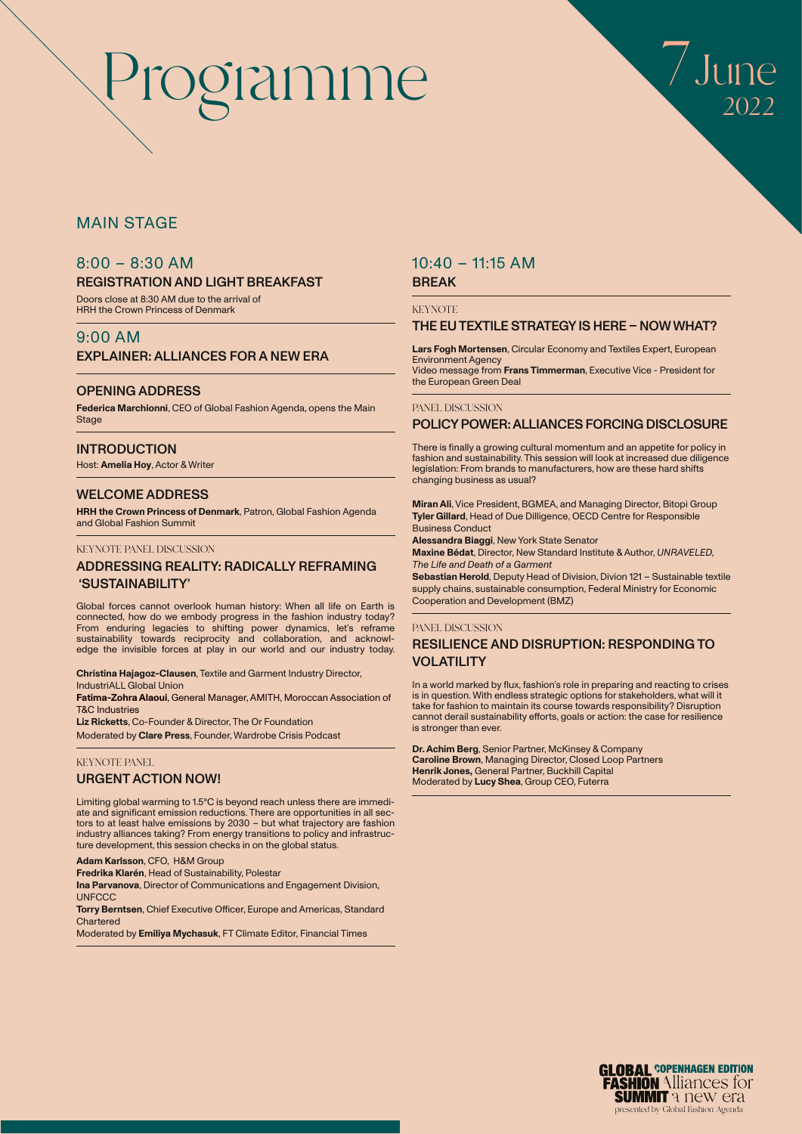

### MAIN STAGE

### 8:00 – 8:30 AM

### REGISTRATION AND LIGHT BREAKFAST

Doors close at 8:30 AM due to the arrival of HRH the Crown Princess of Denmark

### 9:00 AM

### EXPLAINER: ALLIANCES FOR A NEW ERA

### OPENING ADDRESS

**Federica Marchionni**, CEO of Global Fashion Agenda, opens the Main **Stage** 

### **INTRODUCTION**

Host: **Amelia Hoy**, Actor & Writer

### WELCOME ADDRESS

**HRH the Crown Princess of Denmark**, Patron, Global Fashion Agenda and Global Fashion Summit

### KEYNOTE PANEL DISCUSSION

### ADDRESSING REALITY: RADICALLY REFRAMING 'SUSTAINABILITY'

Global forces cannot overlook human history: When all life on Earth is connected, how do we embody progress in the fashion industry today? From enduring legacies to shifting power dynamics, let's reframe sustainability towards reciprocity and collaboration, and acknowledge the invisible forces at play in our world and our industry today.

**Christina Hajagoz-Clausen**, Textile and Garment Industry Director, IndustriALL Global Union

**Fatima-Zohra Alaoui**, General Manager, AMITH, Moroccan Association of T&C Industries

**Liz Ricketts**, Co-Founder & Director, The Or Foundation Moderated by **Clare Press**, Founder, Wardrobe Crisis Podcast

### KEYNOTE PANEL

### URGENT ACTION NOW!

Limiting global warming to 1.5°C is beyond reach unless there are immediate and significant emission reductions. There are opportunities in all sectors to at least halve emissions by 2030 – but what trajectory are fashion industry alliances taking? From energy transitions to policy and infrastructure development, this session checks in on the global status.

### **Adam Karlsson**, CFO, H&M Group

**Fredrika Klarén**, Head of Sustainability, Polestar

**Ina Parvanova**, Director of Communications and Engagement Division, **UNFCCC** 

**Torry Berntsen**, Chief Executive Officer, Europe and Americas, Standard Chartered

Moderated by **Emiliya Mychasuk**, FT Climate Editor, Financial Times

### 10:40 – 11:15 AM

### BREAK

**KEYNOTE** 

### THE EU TEXTILE STRATEGY IS HERE – NOW WHAT?

**Lars Fogh Mortensen**, Circular Economy and Textiles Expert, European Environment Agency Video message from **Frans Timmerman**, Executive Vice - President for the European Green Deal

#### PANEL DISCUSSION

### POLICY POWER: ALLIANCES FORCING DISCLOSURE

There is finally a growing cultural momentum and an appetite for policy in fashion and sustainability. This session will look at increased due diligence legislation: From brands to manufacturers, how are these hard shifts changing business as usual?

**Miran Ali**, Vice President, BGMEA, and Managing Director, Bitopi Group **Tyler Gillard**, Head of Due Dilligence, OECD Centre for Responsible Business Conduct

**Alessandra Biaggi**, New York State Senator

**Maxine Bédat**, Director, New Standard Institute & Author, *UNRAVELED, The Life and Death of a Garment*

**Sebastian Herold**, Deputy Head of Division, Divion 121 – Sustainable textile supply chains, sustainable consumption, Federal Ministry for Economic Cooperation and Development (BMZ)

### PANEL DISCUSSION

### RESILIENCE AND DISRUPTION: RESPONDING TO VOLATILITY

In a world marked by flux, fashion's role in preparing and reacting to crises is in question. With endless strategic options for stakeholders, what will it take for fashion to maintain its course towards responsibility? Disruption cannot derail sustainability efforts, goals or action: the case for resilience is stronger than ever.

**Dr. Achim Berg**, Senior Partner, McKinsey & Company **Caroline Brown**, Managing Director, Closed Loop Partners **Henrik Jones,** General Partner, Buckhill Capital Moderated by **Lucy Shea**, Group CEO, Futerra

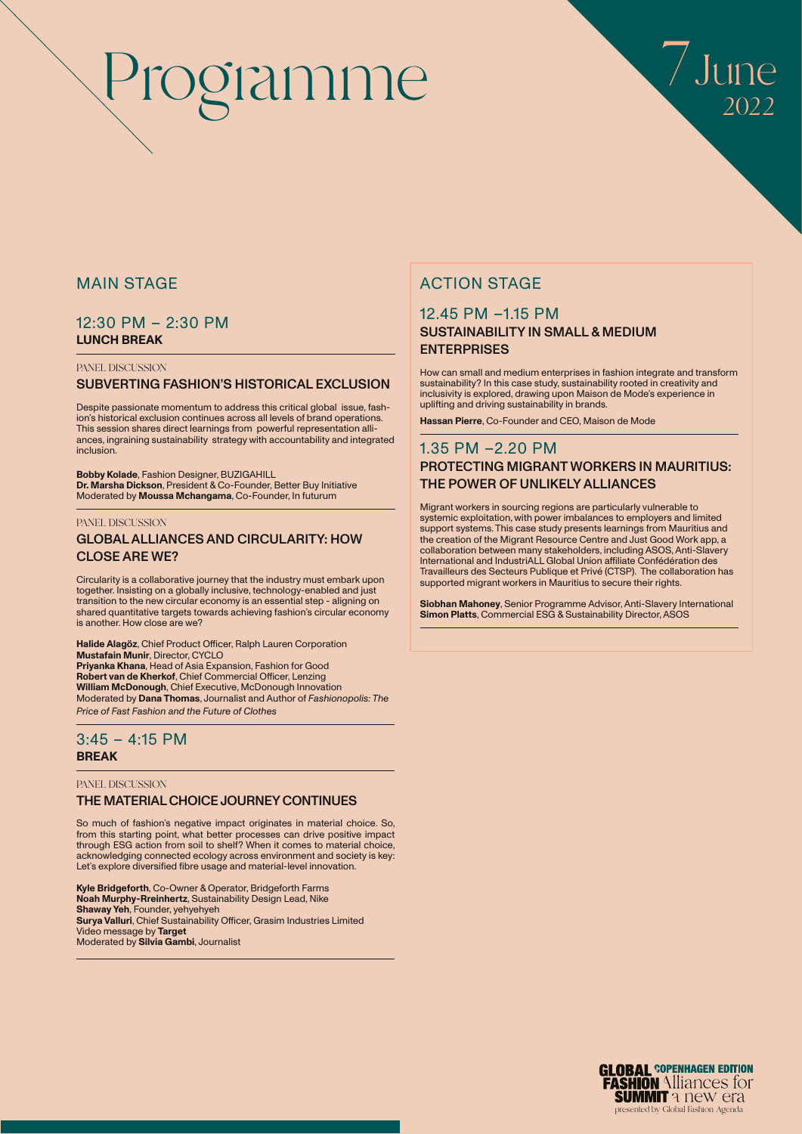

### MAIN STAGE

### 12:30 PM – 2:30 PM **LUNCH BREAK**

### PANEL DISCUSSION

### SUBVERTING FASHION'S HISTORICAL EXCLUSION

Despite passionate momentum to address this critical global issue, fashion's historical exclusion continues across all levels of brand operations. This session shares direct learnings from powerful representation alliances, ingraining sustainability strategy with accountability and integrated inclusion.

**Bobby Kolade**, Fashion Designer, BUZIGAHILL **Dr. Marsha Dickson**, President & Co-Founder, Better Buy Initiative Moderated by **Moussa Mchangama**, Co-Founder, In futurum

### PANEL DISCUSSION

### GLOBAL ALLIANCES AND CIRCULARITY: HOW CLOSE ARE WE?

Circularity is a collaborative journey that the industry must embark upon together. Insisting on a globally inclusive, technology-enabled and just transition to the new circular economy is an essential step - aligning on shared quantitative targets towards achieving fashion's circular economy is another. How close are we?

**Halide Alagöz**, Chief Product Officer, Ralph Lauren Corporation **Mustafain Munir**, Director, CYCLO **Priyanka Khana**, Head of Asia Expansion, Fashion for Good **Robert van de Kherkof**, Chief Commercial Officer, Lenzing **William McDonough**, Chief Executive, McDonough Innovation Moderated by **Dana Thomas**, Journalist and Author of *Fashionopolis: The Price of Fast Fashion and the Future of Clothes*

### 3:45 – 4:15 PM **BREAK**

### PANEL DISCUSSION

### THE MATERIAL CHOICE JOURNEY CONTINUES

So much of fashion's negative impact originates in material choice. So, from this starting point, what better processes can drive positive impact through ESG action from soil to shelf? When it comes to material choice, acknowledging connected ecology across environment and society is key: Let's explore diversified fibre usage and material-level innovation.

**Kyle Bridgeforth**, Co-Owner & Operator, Bridgeforth Farms **Noah Murphy-Rreinhertz**, Sustainability Design Lead, Nike **Shaway Yeh**, Founder, yehyehyeh **Surya Valluri**, Chief Sustainability Officer, Grasim Industries Limited Video message by **Target** Moderated by **Silvia Gambi**, Journalist

### ACTION STAGE

### 12.45 PM –1.15 PM SUSTAINABILITY IN SMALL & MEDIUM **ENTERPRISES**

How can small and medium enterprises in fashion integrate and transform sustainability? In this case study, sustainability rooted in creativity and inclusivity is explored, drawing upon Maison de Mode's experience in uplifting and driving sustainability in brands.

**Hassan Pierre**, Co-Founder and CEO, Maison de Mode

### 1.35 PM –2.20 PM PROTECTING MIGRANT WORKERS IN MAURITIUS: THE POWER OF UNLIKELY ALLIANCES

Migrant workers in sourcing regions are particularly vulnerable to systemic exploitation, with power imbalances to employers and limited support systems. This case study presents learnings from Mauritius and the creation of the Migrant Resource Centre and Just Good Work app, a collaboration between many stakeholders, including ASOS, Anti-Slavery International and IndustriALL Global Union affiliate Confédération des Travailleurs des Secteurs Publique et Privé (CTSP). The collaboration has supported migrant workers in Mauritius to secure their rights.

**Siobhan Mahoney**, Senior Programme Advisor, Anti-Slavery International **Simon Platts**, Commercial ESG & Sustainability Director, ASOS

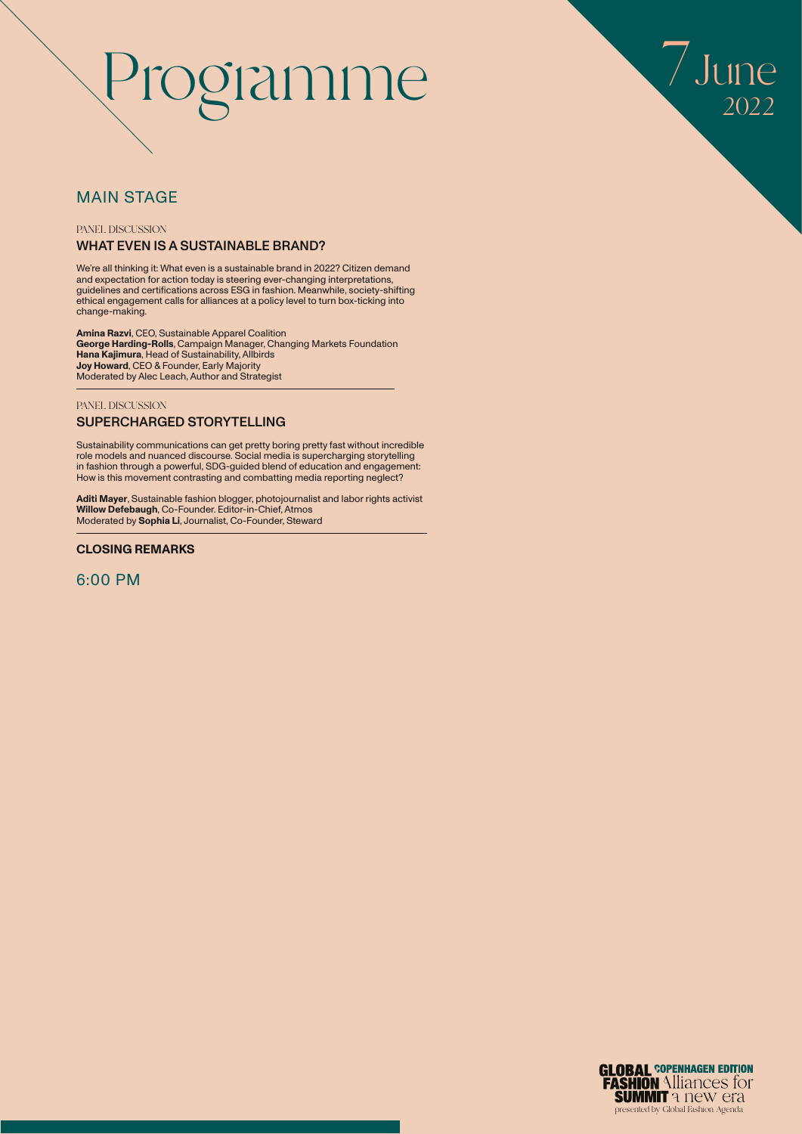

### MAIN STAGE

### PANEL DISCUSSION WHAT EVEN IS A SUSTAINABLE BRAND?

We're all thinking it: What even is a sustainable brand in 2022? Citizen demand and expectation for action today is steering ever-changing interpretations, guidelines and certifications across ESG in fashion. Meanwhile, society-shifting ethical engagement calls for alliances at a policy level to turn box-ticking into change-making.

**Amina Razvi**, CEO, Sustainable Apparel Coalition **George Harding-Rolls**, Campaign Manager, Changing Markets Foundation **Hana Kajimura**, Head of Sustainability, Allbirds **Joy Howard**, CEO & Founder, Early Majority Moderated by Alec Leach, Author and Strategist

### PANEL DISCUSSION

### SUPERCHARGED STORYTELLING

Sustainability communications can get pretty boring pretty fast without incredible role models and nuanced discourse. Social media is supercharging storytelling in fashion through a powerful, SDG-guided blend of education and engagement: How is this movement contrasting and combatting media reporting neglect?

**Aditi Mayer**, Sustainable fashion blogger, photojournalist and labor rights activist **Willow Defebaugh**, Co-Founder. Editor-in-Chief, Atmos Moderated by **Sophia Li**, Journalist, Co-Founder, Steward

### **CLOSING REMARKS**

### 6:00 PM

**GLOBAL COPENHAGEN EDITION FASHION** Alliances for **SUMMIT a Idem CFA** presented by Global Fashion Agenda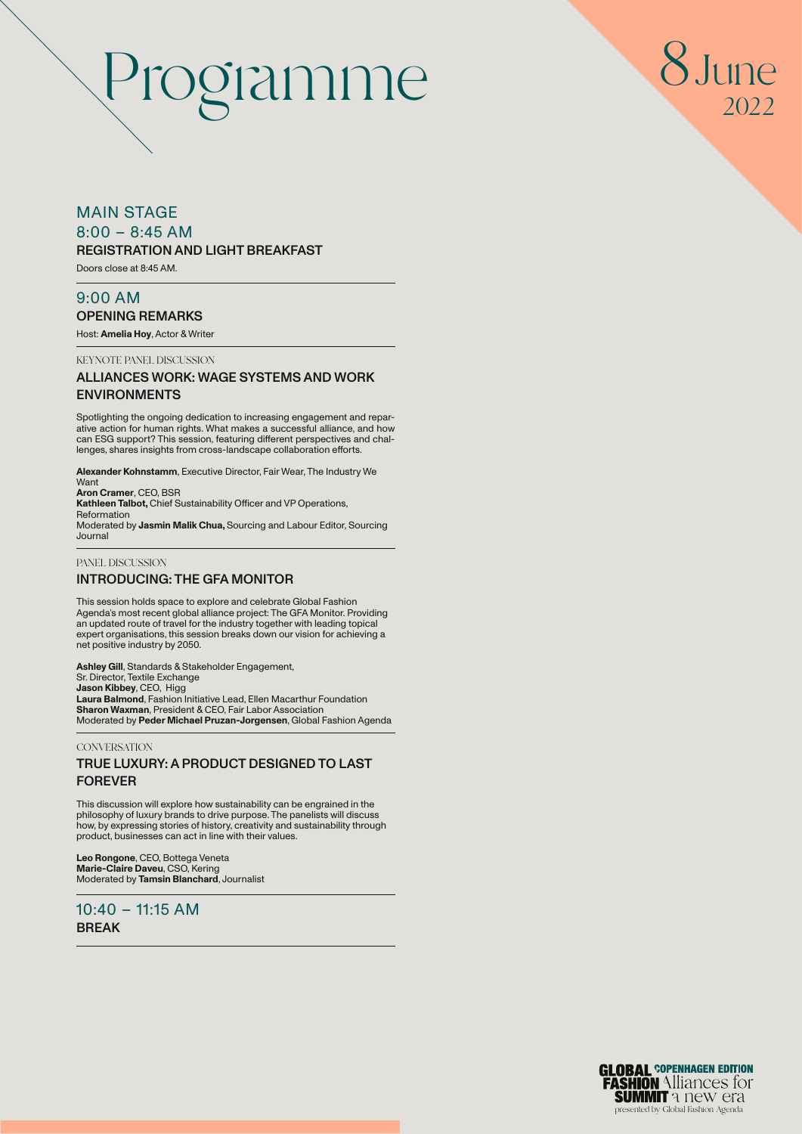

### MAIN STAGE

 $8:00 - 8:45$  AM

### REGISTRATION AND LIGHT BREAKFAST

Doors close at 8:45 AM.

### 9:00 AM OPENING REMARKS

Host: **Amelia Hoy**, Actor & Writer

KEYNOTE PANEL DISCUSSION

### ALLIANCES WORK: WAGE SYSTEMS AND WORK ENVIRONMENTS

Spotlighting the ongoing dedication to increasing engagement and reparative action for human rights. What makes a successful alliance, and how can ESG support? This session, featuring different perspectives and challenges, shares insights from cross-landscape collaboration efforts.

**Alexander Kohnstamm**, Executive Director, Fair Wear, The Industry We Want

**Aron Cramer**, CEO, BSR **Kathleen Talbot,** Chief Sustainability Officer and VP Operations, Reformation Moderated by **Jasmin Malik Chua,** Sourcing and Labour Editor, Sourcing

### Journal PANEL DISCUSSION

### INTRODUCING: THE GFA MONITOR

This session holds space to explore and celebrate Global Fashion Agenda's most recent global alliance project: The GFA Monitor. Providing an updated route of travel for the industry together with leading topical expert organisations, this session breaks down our vision for achieving a net positive industry by 2050.

**Ashley Gill**, Standards & Stakeholder Engagement,<br>Sr. Director, Textile Exchange **Jason Kibbey**, CEO, Higg **Laura Balmond**, Fashion Initiative Lead, Ellen Macarthur Foundation **Sharon Waxman**, President & CEO, Fair Labor Association Moderated by **Peder Michael Pruzan-Jorgensen**, Global Fashion Agenda

### **CONVERSATION**

### TRUE LUXURY: A PRODUCT DESIGNED TO LAST FOREVER

This discussion will explore how sustainability can be engrained in the philosophy of luxury brands to drive purpose. The panelists will discuss how, by expressing stories of history, creativity and sustainability through product, businesses can act in line with their values.

**Leo Rongone**, CEO, Bottega Veneta **Marie-Claire Daveu**, CSO, Kering Moderated by **Tamsin Blanchard**, Journalist

 $10:40 - 11:15$  AM BREAK

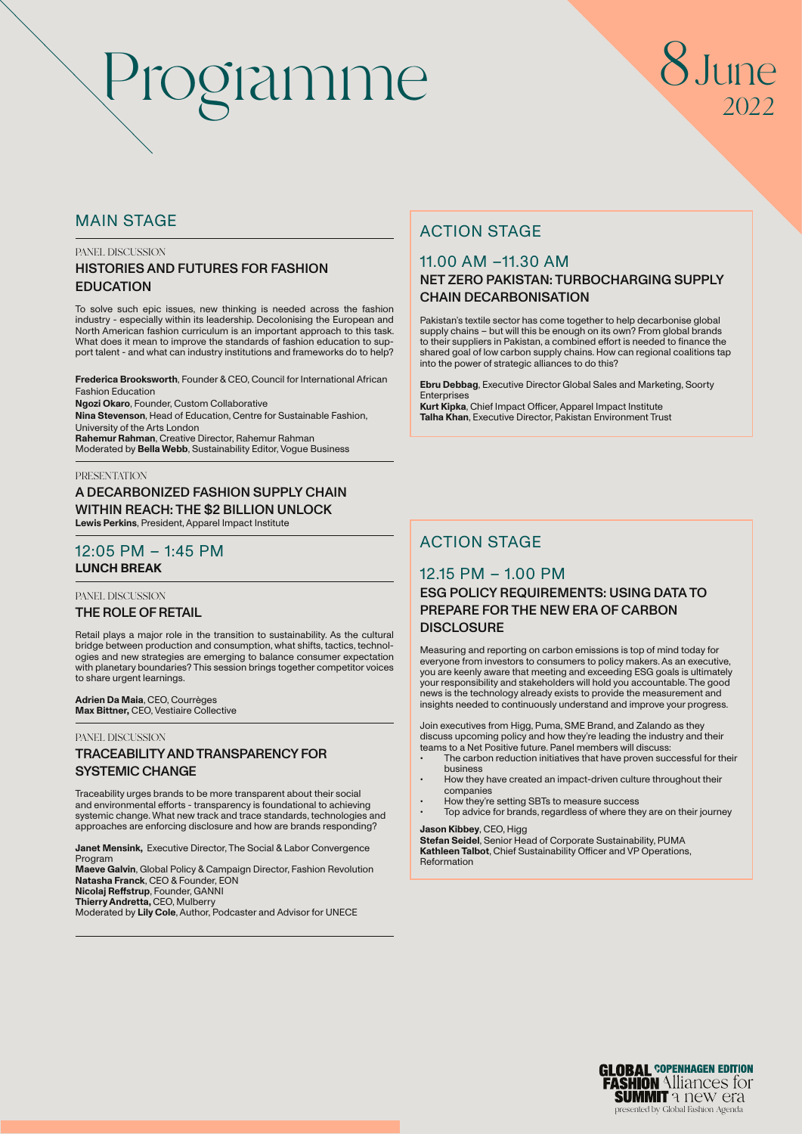## Inne 2022

### MAIN STAGE

### PANEL DISCUSSION

### HISTORIES AND FUTURES FOR FASHION EDUCATION

To solve such epic issues, new thinking is needed across the fashion industry - especially within its leadership. Decolonising the European and North American fashion curriculum is an important approach to this task. What does it mean to improve the standards of fashion education to sup-port talent - and what can industry institutions and frameworks do to help?

**Frederica Brooksworth**, Founder & CEO, Council for International African Fashion Education

**Ngozi Okaro**, Founder, Custom Collaborative

**Nina Stevenson**, Head of Education, Centre for Sustainable Fashion, University of the Arts London

**Rahemur Rahman**, Creative Director, Rahemur Rahman Moderated by **Bella Webb**, Sustainability Editor, Vogue Business

### **PRESENTATION**

### A DECARBONIZED FASHION SUPPLY CHAIN WITHIN REACH: THE \$2 BILLION UNLOCK

**Lewis Perkins**, President, Apparel Impact Institute

### 12:05 PM – 1:45 PM **LUNCH BREAK**

PANEL DISCUSSION

### THE ROLE OF RETAIL

Retail plays a major role in the transition to sustainability. As the cultural bridge between production and consumption, what shifts, tactics, technologies and new strategies are emerging to balance consumer expectation with planetary boundaries? This session brings together competitor voices to share urgent learnings.

### **Adrien Da Maia**, CEO, Courrèges **Max Bittner,** CEO, Vestiaire Collective

### PANEL DISCUSSION TRACEABILITY AND TRANSPARENCY FOR

SYSTEMIC CHANGE

Traceability urges brands to be more transparent about their social and environmental efforts - transparency is foundational to achieving systemic change. What new track and trace standards, technologies and approaches are enforcing disclosure and how are brands responding?

**Janet Mensink,** Executive Director, The Social & Labor Convergence Program **Maeve Galvin**, Global Policy & Campaign Director, Fashion Revolution **Natasha Franck**, CEO & Founder, EON

**Nicolaj Reffstrup**, Founder, GANNI

**Thierry Andretta,** CEO, Mulberry Moderated by **Lily Cole**, Author, Podcaster and Advisor for UNECE

### ACTION STAGE

## 11.00 AM –11.30 AM

### NET ZERO PAKISTAN: TURBOCHARGING SUPPLY CHAIN DECARBONISATION

Pakistan's textile sector has come together to help decarbonise global supply chains – but will this be enough on its own? From global brands to their suppliers in Pakistan, a combined effort is needed to finance the shared goal of low carbon supply chains. How can regional coalitions tap into the power of strategic alliances to do this?

**Ebru Debbag**, Executive Director Global Sales and Marketing, Soorty **Enterprises** 

**Kurt Kipka**, Chief Impact Officer, Apparel Impact Institute **Talha Khan**, Executive Director, Pakistan Environment Trust

### ACTION STAGE

### 12.15 PM – 1.00 PM

### ESG POLICY REQUIREMENTS: USING DATA TO PREPARE FOR THE NEW ERA OF CARBON **DISCLOSURE**

Measuring and reporting on carbon emissions is top of mind today for everyone from investors to consumers to policy makers. As an executive, you are keenly aware that meeting and exceeding ESG goals is ultimately your responsibility and stakeholders will hold you accountable. The good news is the technology already exists to provide the measurement and insights needed to continuously understand and improve your progress.

Join executives from Higg, Puma, SME Brand, and Zalando as they discuss upcoming policy and how they're leading the industry and their teams to a Net Positive future. Panel members will discuss:

- The carbon reduction initiatives that have proven successful for their business
- How they have created an impact-driven culture throughout their
- companies • How they're setting SBTs to measure success
- Top advice for brands, regardless of where they are on their journey

**Jason Kibbey**, CEO, Higg

**Stefan Seidel**, Senior Head of Corporate Sustainability, PUMA **Kathleen Talbot**, Chief Sustainability Officer and VP Operations, Reformation

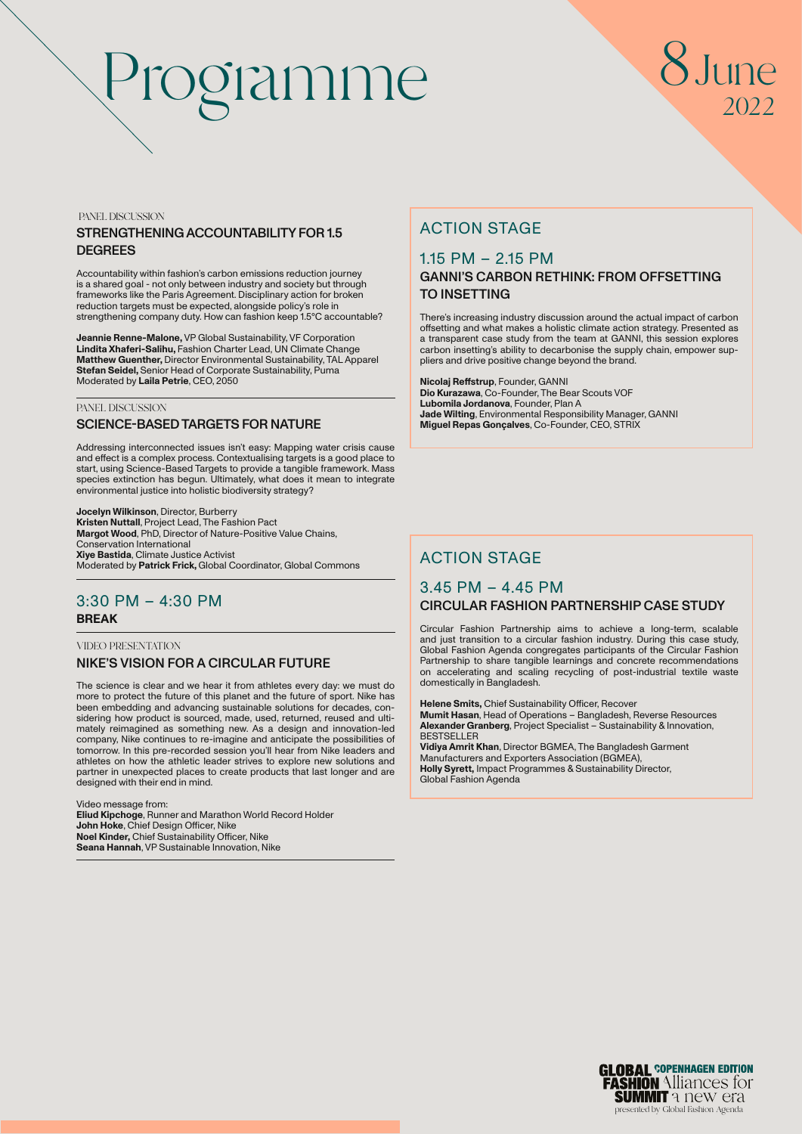# Programme 8June

# 2022

PANEL DISCUSSION

### STRENGTHENING ACCOUNTABILITY FOR 1.5 **DEGREES**

Accountability within fashion's carbon emissions reduction journey is a shared goal - not only between industry and society but through frameworks like the Paris Agreement. Disciplinary action for broken reduction targets must be expected, alongside policy's role in strengthening company duty. How can fashion keep 1.5°C accountable?

**Jeannie Renne-Malone,** VP Global Sustainability, VF Corporation **Lindita Xhaferi-Salihu,** Fashion Charter Lead, UN Climate Change **Matthew Guenther,** Director Environmental Sustainability, TAL Apparel **Stefan Seidel,** Senior Head of Corporate Sustainability, Puma Moderated by **Laila Petrie**, CEO, 2050

### PANEL DISCUSSION

### SCIENCE-BASED TARGETS FOR NATURE

Addressing interconnected issues isn't easy: Mapping water crisis cause and effect is a complex process. Contextualising targets is a good place to start, using Science-Based Targets to provide a tangible framework. Mass species extinction has begun. Ultimately, what does it mean to integrate environmental justice into holistic biodiversity strategy?

**Jocelyn Wilkinson**, Director, Burberry **Kristen Nuttall**, Project Lead, The Fashion Pact **Margot Wood**, PhD, Director of Nature-Positive Value Chains, Conservation International **Xiye Bastida**, Climate Justice Activist Moderated by **Patrick Frick,** Global Coordinator, Global Commons

### 3:30 PM – 4:30 PM **BREAK**

### VIDEO PRESENTATION NIKE'S VISION FOR A CIRCULAR FUTURE

The science is clear and we hear it from athletes every day: we must do more to protect the future of this planet and the future of sport. Nike has been embedding and advancing sustainable solutions for decades, considering how product is sourced, made, used, returned, reused and ultimately reimagined as something new. As a design and innovation-led company, Nike continues to re-imagine and anticipate the possibilities of tomorrow. In this pre-recorded session you'll hear from Nike leaders and athletes on how the athletic leader strives to explore new solutions and partner in unexpected places to create products that last longer and are designed with their end in mind.

Video message from: **Eliud Kipchoge**, Runner and Marathon World Record Holder **John Hoke**, Chief Design Officer, Nike **Noel Kinder,** Chief Sustainability Officer, Nike **Seana Hannah**, VP Sustainable Innovation, Nike

### ACTION STAGE

### 1.15 PM – 2.15 PM

### GANNI'S CARBON RETHINK: FROM OFFSETTING TO INSETTING

There's increasing industry discussion around the actual impact of carbon offsetting and what makes a holistic climate action strategy. Presented as a transparent case study from the team at GANNI, this session explores carbon insetting's ability to decarbonise the supply chain, empower suppliers and drive positive change beyond the brand.

**Nicolaj Reffstrup**, Founder, GANNI **Dio Kurazawa**, Co-Founder, The Bear Scouts VOF **Lubomila Jordanova**, Founder, Plan A **Jade Wilting**, Environmental Responsibility Manager, GANNI **Miguel Repas Gonçalves**, Co-Founder, CEO, STRIX

### ACTION STAGE

### 3.45 PM – 4.45 PM CIRCULAR FASHION PARTNERSHIP CASE STUDY

Circular Fashion Partnership aims to achieve a long-term, scalable and just transition to a circular fashion industry. During this case study, Global Fashion Agenda congregates participants of the Circular Fashion Partnership to share tangible learnings and concrete recommendations on accelerating and scaling recycling of post-industrial textile waste domestically in Bangladesh.

**Helene Smits,** Chief Sustainability Officer, Recover **Mumit Hasan**, Head of Operations – Bangladesh, Reverse Resources **Alexander Granberg**, Project Specialist – Sustainability & Innovation, **BESTSELLER Vidiya Amrit Khan**, Director BGMEA, The Bangladesh Garment Manufacturers and Exporters Association (BGMEA),

**Holly Syrett,** Impact Programmes & Sustainability Director, Global Fashion Agenda

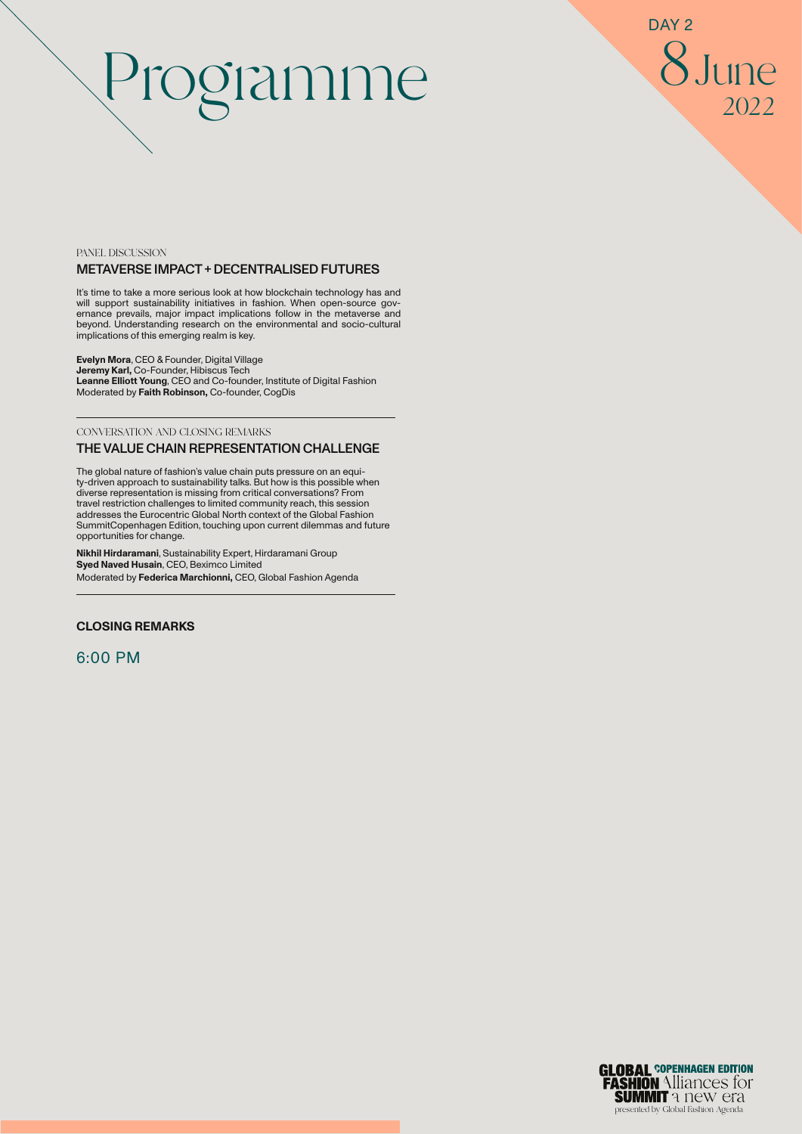8June 2022 DAY<sub>2</sub>

### PANEL DISCUSSION METAVERSE IMPACT + DECENTRALISED FUTURES

It's time to take a more serious look at how blockchain technology has and will support sustainability initiatives in fashion. When open-source gov-ernance prevails, major impact implications follow in the metaverse and beyond. Understanding research on the environmental and socio-cultural implications of this emerging realm is key.

**Evelyn Mora**, CEO & Founder, Digital Village **Jeremy Karl,** Co-Founder, Hibiscus Tech **Leanne Elliott Young**, CEO and Co-founder, Institute of Digital Fashion Moderated by **Faith Robinson,** Co-founder, CogDis

### CONVERSATION AND CLOSING REMARKS THE VALUE CHAIN REPRESENTATION CHALLENGE

The global nature of fashion's value chain puts pressure on an equity-driven approach to sustainability talks. But how is this possible when diverse representation is missing from critical conversations? From travel restriction challenges to limited community reach, this session addresses the Eurocentric Global North context of the Global Fashion SummitCopenhagen Edition, touching upon current dilemmas and future opportunities for change.

**Nikhil Hirdaramani**, Sustainability Expert, Hirdaramani Group **Syed Naved Husain**, CEO, Beximco Limited Moderated by **Federica Marchionni,** CEO, Global Fashion Agenda

### **CLOSING REMARKS**

6:00 PM